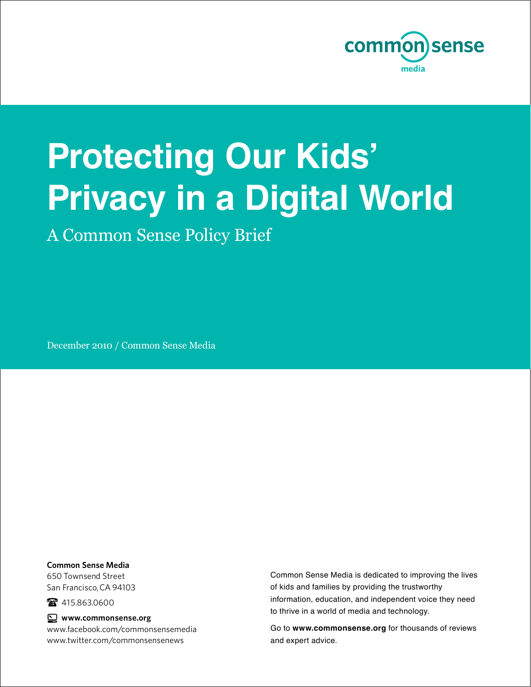

# **Protecting Our Kids' Privacy in a Digital World**

A Common Sense Policy Brief

December 2010 / Common Sense Media

**Common Sense Media** 650 Townsend Street San Francisco, CA 94103

115.863.0600

**www.commonsense.org**

www.facebook.com/commonsensemedia www.twitter.com/commonsensenews

Common Sense Media is dedicated to improving the lives of kids and families by providing the trustworthy information, education, and independent voice they need to thrive in a world of media and technology.

Go to **www.commonsense.org** for thousands of reviews and expert advice.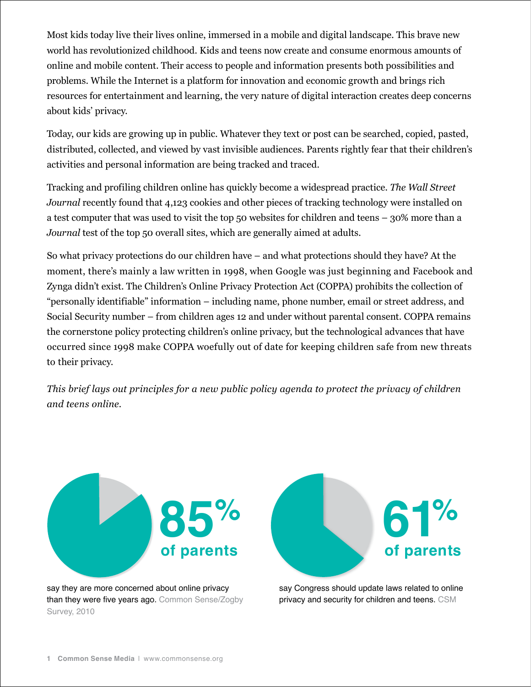Most kids today live their lives online, immersed in a mobile and digital landscape. This brave new world has revolutionized childhood. Kids and teens now create and consume enormous amounts of online and mobile content. Their access to people and information presents both possibilities and problems. While the Internet is a platform for innovation and economic growth and brings rich resources for entertainment and learning, the very nature of digital interaction creates deep concerns about kids' privacy.

Today, our kids are growing up in public. Whatever they text or post can be searched, copied, pasted, distributed, collected, and viewed by vast invisible audiences. Parents rightly fear that their children's activities and personal information are being tracked and traced.

Tracking and profiling children online has quickly become a widespread practice. *The Wall Street Journal* recently found that 4,123 cookies and other pieces of tracking technology were installed on a test computer that was used to visit the top 50 websites for children and teens – 30% more than a *Journal* test of the top 50 overall sites, which are generally aimed at adults.

So what privacy protections do our children have – and what protections should they have? At the moment, there's mainly a law written in 1998, when Google was just beginning and Facebook and Zynga didn't exist. The Children's Online Privacy Protection Act (COPPA) prohibits the collection of "personally identifiable" information – including name, phone number, email or street address, and Social Security number – from children ages 12 and under without parental consent. COPPA remains the cornerstone policy protecting children's online privacy, but the technological advances that have occurred since 1998 make COPPA woefully out of date for keeping children safe from new threats to their privacy.

*This brief lays out principles for a new public policy agenda to protect the privacy of children and teens online.*



say they are more concerned about online privacy than they were five years ago. Common Sense/Zogby Survey, 2010



say Congress should update laws related to online privacy and security for children and teens. CSM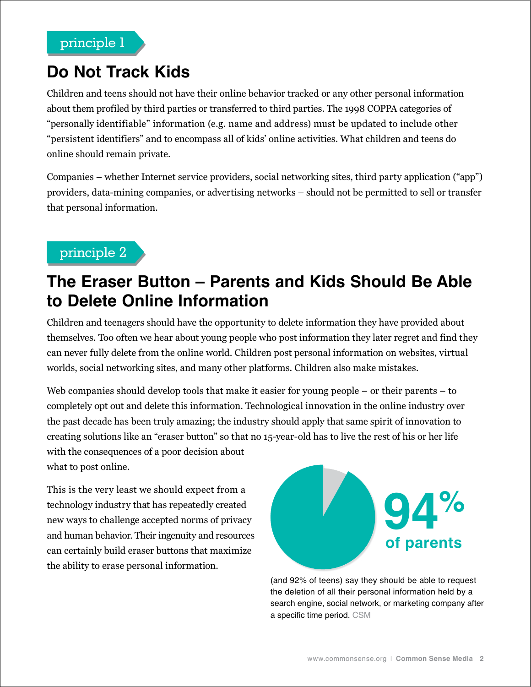# **Do Not Track Kids**

Children and teens should not have their online behavior tracked or any other personal information about them profiled by third parties or transferred to third parties. The 1998 COPPA categories of "personally identifiable" information (e.g. name and address) must be updated to include other "persistent identifiers" and to encompass all of kids' online activities. What children and teens do online should remain private.

Companies – whether Internet service providers, social networking sites, third party application ("app") providers, data-mining companies, or advertising networks – should not be permitted to sell or transfer that personal information.

## principle 2

# **The Eraser Button – Parents and Kids Should Be Able to Delete Online Information**

Children and teenagers should have the opportunity to delete information they have provided about themselves. Too often we hear about young people who post information they later regret and find they can never fully delete from the online world. Children post personal information on websites, virtual worlds, social networking sites, and many other platforms. Children also make mistakes.

Web companies should develop tools that make it easier for young people – or their parents – to completely opt out and delete this information. Technological innovation in the online industry over the past decade has been truly amazing; the industry should apply that same spirit of innovation to creating solutions like an "eraser button" so that no 15-year-old has to live the rest of his or her life with the consequences of a poor decision about

what to post online.

This is the very least we should expect from a technology industry that has repeatedly created new ways to challenge accepted norms of privacy and human behavior. Their ingenuity and resources can certainly build eraser buttons that maximize the ability to erase personal information.



(and 92% of teens) say they should be able to request the deletion of all their personal information held by a search engine, social network, or marketing company after a specific time period. CSM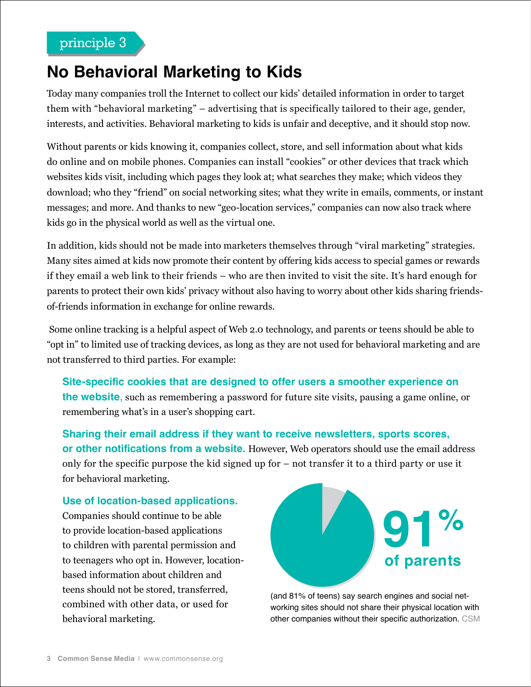# **No Behavioral Marketing to Kids**

Today many companies troll the Internet to collect our kids' detailed information in order to target them with "behavioral marketing" – advertising that is specifically tailored to their age, gender, interests, and activities. Behavioral marketing to kids is unfair and deceptive, and it should stop now.

Without parents or kids knowing it, companies collect, store, and sell information about what kids do online and on mobile phones. Companies can install "cookies" or other devices that track which websites kids visit, including which pages they look at; what searches they make; which videos they download; who they "friend" on social networking sites; what they write in emails, comments, or instant messages; and more. And thanks to new "geo-location services," companies can now also track where kids go in the physical world as well as the virtual one.

In addition, kids should not be made into marketers themselves through "viral marketing" strategies. Many sites aimed at kids now promote their content by offering kids access to special games or rewards if they email a web link to their friends – who are then invited to visit the site. It's hard enough for parents to protect their own kids' privacy without also having to worry about other kids sharing friendsof-friends information in exchange for online rewards.

 Some online tracking is a helpful aspect of Web 2.0 technology, and parents or teens should be able to "opt in" to limited use of tracking devices, as long as they are not used for behavioral marketing and are not transferred to third parties. For example:

**Site-specific cookies that are designed to offer users a smoother experience on the website**, such as remembering a password for future site visits, pausing a game online, or remembering what's in a user's shopping cart.

**Sharing their email address if they want to receive newsletters, sports scores, or other notifications from a website.** However, Web operators should use the email address only for the specific purpose the kid signed up for – not transfer it to a third party or use it for behavioral marketing.

#### **Use of location-based applications.**

Companies should continue to be able to provide location-based applications to children with parental permission and to teenagers who opt in. However, locationbased information about children and teens should not be stored, transferred, combined with other data, or used for behavioral marketing.



(and 81% of teens) say search engines and social networking sites should not share their physical location with other companies without their specific authorization. CSM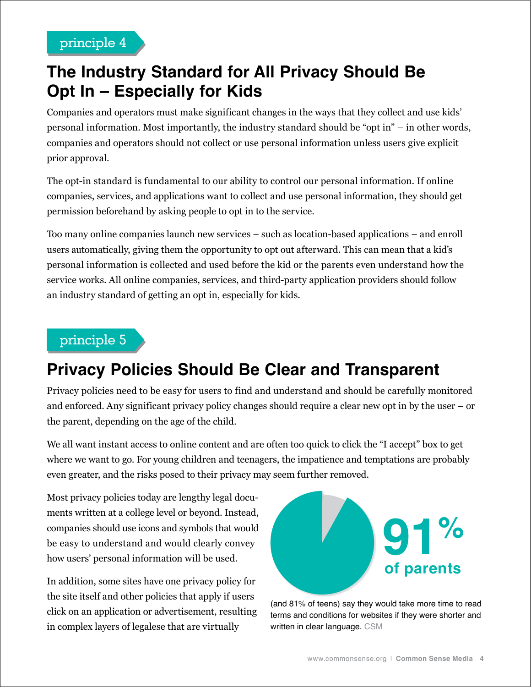

# **The Industry Standard for All Privacy Should Be Opt In – Especially for Kids**

Companies and operators must make significant changes in the ways that they collect and use kids' personal information. Most importantly, the industry standard should be "opt in" – in other words, companies and operators should not collect or use personal information unless users give explicit prior approval.

The opt-in standard is fundamental to our ability to control our personal information. If online companies, services, and applications want to collect and use personal information, they should get permission beforehand by asking people to opt in to the service.

Too many online companies launch new services – such as location-based applications – and enroll users automatically, giving them the opportunity to opt out afterward. This can mean that a kid's personal information is collected and used before the kid or the parents even understand how the service works. All online companies, services, and third-party application providers should follow an industry standard of getting an opt in, especially for kids.

## principle 5

# **Privacy Policies Should Be Clear and Transparent**

Privacy policies need to be easy for users to find and understand and should be carefully monitored and enforced. Any significant privacy policy changes should require a clear new opt in by the user – or the parent, depending on the age of the child.

We all want instant access to online content and are often too quick to click the "I accept" box to get where we want to go. For young children and teenagers, the impatience and temptations are probably even greater, and the risks posed to their privacy may seem further removed.

Most privacy policies today are lengthy legal documents written at a college level or beyond. Instead, companies should use icons and symbols that would be easy to understand and would clearly convey how users' personal information will be used.

In addition, some sites have one privacy policy for the site itself and other policies that apply if users click on an application or advertisement, resulting in complex layers of legalese that are virtually



(and 81% of teens) say they would take more time to read terms and conditions for websites if they were shorter and written in clear language. CSM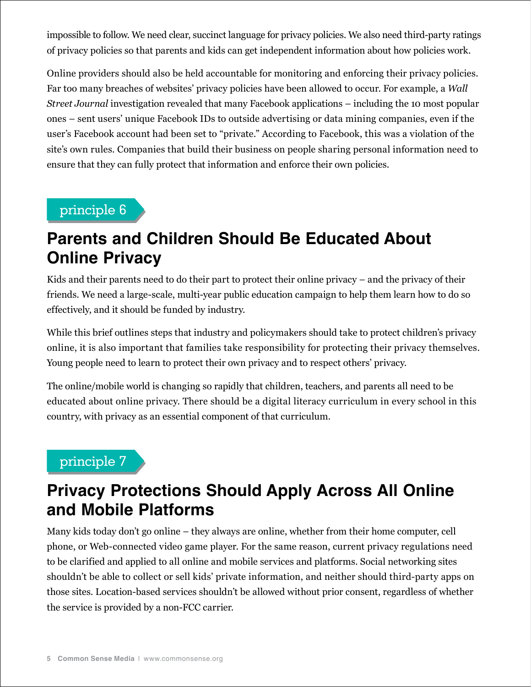impossible to follow. We need clear, succinct language for privacy policies. We also need third-party ratings of privacy policies so that parents and kids can get independent information about how policies work.

Online providers should also be held accountable for monitoring and enforcing their privacy policies. Far too many breaches of websites' privacy policies have been allowed to occur. For example, a *Wall Street Journal* investigation revealed that many Facebook applications – including the 10 most popular ones – sent users' unique Facebook IDs to outside advertising or data mining companies, even if the user's Facebook account had been set to "private." According to Facebook, this was a violation of the site's own rules. Companies that build their business on people sharing personal information need to ensure that they can fully protect that information and enforce their own policies.

## principle 6

# **Parents and Children Should Be Educated About Online Privacy**

Kids and their parents need to do their part to protect their online privacy – and the privacy of their friends. We need a large-scale, multi-year public education campaign to help them learn how to do so effectively, and it should be funded by industry.

While this brief outlines steps that industry and policymakers should take to protect children's privacy online, it is also important that families take responsibility for protecting their privacy themselves. Young people need to learn to protect their own privacy and to respect others' privacy.

The online/mobile world is changing so rapidly that children, teachers, and parents all need to be educated about online privacy. There should be a digital literacy curriculum in every school in this country, with privacy as an essential component of that curriculum.

## principle 7

## **Privacy Protections Should Apply Across All Online and Mobile Platforms**

Many kids today don't go online – they always are online, whether from their home computer, cell phone, or Web-connected video game player. For the same reason, current privacy regulations need to be clarified and applied to all online and mobile services and platforms. Social networking sites shouldn't be able to collect or sell kids' private information, and neither should third-party apps on those sites. Location-based services shouldn't be allowed without prior consent, regardless of whether the service is provided by a non-FCC carrier.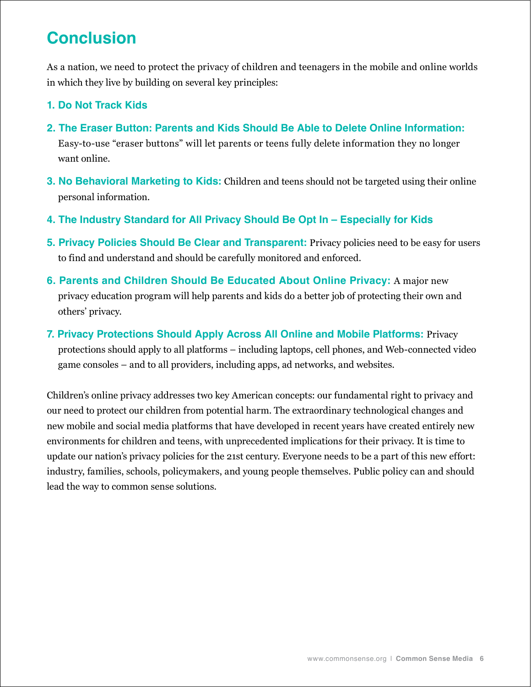# **Conclusion**

As a nation, we need to protect the privacy of children and teenagers in the mobile and online worlds in which they live by building on several key principles:

### **1. Do Not Track Kids**

- **2. The Eraser Button: Parents and Kids Should Be Able to Delete Online Information:** Easy-to-use "eraser buttons" will let parents or teens fully delete information they no longer want online.
- **3. No Behavioral Marketing to Kids:** Children and teens should not be targeted using their online personal information.
- **4. The Industry Standard for All Privacy Should Be Opt In Especially for Kids**
- **5. Privacy Policies Should Be Clear and Transparent:** Privacy policies need to be easy for users to find and understand and should be carefully monitored and enforced.
- **6. Parents and Children Should Be Educated About Online Privacy:** A major new privacy education program will help parents and kids do a better job of protecting their own and others' privacy.
- **7. Privacy Protections Should Apply Across All Online and Mobile Platforms:** Privacy protections should apply to all platforms – including laptops, cell phones, and Web-connected video game consoles – and to all providers, including apps, ad networks, and websites.

Children's online privacy addresses two key American concepts: our fundamental right to privacy and our need to protect our children from potential harm. The extraordinary technological changes and new mobile and social media platforms that have developed in recent years have created entirely new environments for children and teens, with unprecedented implications for their privacy. It is time to update our nation's privacy policies for the 21st century. Everyone needs to be a part of this new effort: industry, families, schools, policymakers, and young people themselves. Public policy can and should lead the way to common sense solutions.